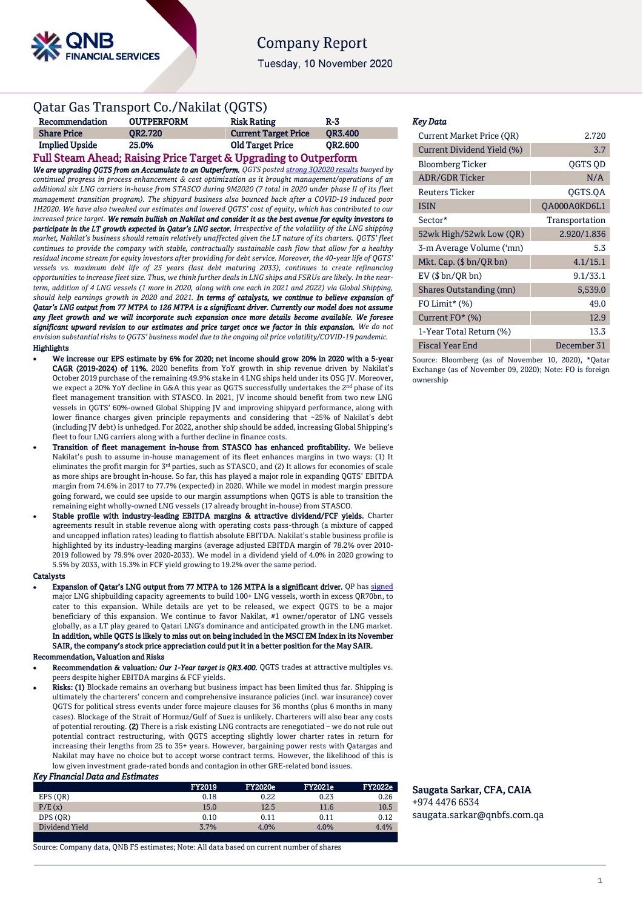

# **Company Report**

Tuesday, 10 November 2020

## Qatar Gas Transport Co./Nakilat (QGTS)

| Recommendation        | <b>OUTPERFORM</b> | <b>Risk Rating</b>          | R-3            |
|-----------------------|-------------------|-----------------------------|----------------|
| <b>Share Price</b>    | <b>OR2.720</b>    | <b>Current Target Price</b> | <b>OR3.400</b> |
| <b>Implied Upside</b> | 25.0%             | <b>Old Target Price</b>     | <b>OR2.600</b> |

## Full Steam Ahead; Raising Price Target & Upgrading to Outperform

*We are upgrading QGTS from an Accumulate to an Outperform. QGTS poste[d strong 3Q2020 results](https://www.qnb.com/sites/qnb/qnbfs/document/en/QGTS-20-10-2020) buoyed by continued progress in process enhancement & cost optimization as it brought management/operations of an additional six LNG carriers in-house from STASCO during 9M2020 (7 total in 2020 under phase II of its fleet management transition program). The shipyard business also bounced back after a COVID-19 induced poor 1H2020. We have also tweaked our estimates and lowered QGTS' cost of equity, which has contributed to our increased price target. We remain bullish on Nakilat and consider it as the best avenue for equity investors to participate in the LT growth expected in Qatar's LNG sector. Irrespective of the volatility of the LNG shipping market, Nakilat's business should remain relatively unaffected given the LT nature of its charters. QGTS' fleet continues to provide the company with stable, contractually sustainable cash flow that allow for a healthy residual income stream for equity investors after providing for debt service. Moreover, the 40-year life of QGTS' vessels vs. maximum debt life of 25 years (last debt maturing 2033), continues to create refinancing opportunities to increase fleet size. Thus, we think further deals in LNG ships and FSRUs are likely. In the nearterm, addition of 4 LNG vessels (1 more in 2020, along with one each in 2021 and 2022) via Global Shipping, should help earnings growth in 2020 and 2021. In terms of catalysts, we continue to believe expansion of Qatar's LNG output from 77 MTPA to 126 MTPA is a significant driver. Currently our model does not assume any fleet growth and we will incorporate such expansion once more details become available. We foresee significant upward revision to our estimates and price target once we factor in this expansion. We do not envision substantial risks to QGTS' business model due to the ongoing oil price volatility/COVID-19 pandemic.*  Highlights

- We increase our EPS estimate by 6% for 2020; net income should grow 20% in 2020 with a 5-year CAGR (2019-2024) of 11%. 2020 benefits from YoY growth in ship revenue driven by Nakilat's October 2019 purchase of the remaining 49.9% stake in 4 LNG ships held under its OSG JV. Moreover, we expect a 20% YoY decline in G&A this year as OGTS successfully undertakes the 2<sup>nd</sup> phase of its fleet management transition with STASCO. In 2021, JV income should benefit from two new LNG vessels in QGTS' 60%-owned Global Shipping JV and improving shipyard performance, along with lower finance charges given principle repayments and considering that ~25% of Nakilat's debt (including JV debt) is unhedged. For 2022, another ship should be added, increasing Global Shipping's fleet to four LNG carriers along with a further decline in finance costs.
- Transition of fleet management in-house from STASCO has enhanced profitability. We believe Nakilat's push to assume in-house management of its fleet enhances margins in two ways: (1) It eliminates the profit margin for 3<sup>rd</sup> parties, such as STASCO, and (2) It allows for economies of scale as more ships are brought in-house. So far, this has played a major role in expanding QGTS' EBITDA margin from 74.6% in 2017 to 77.7% (expected) in 2020. While we model in modest margin pressure going forward, we could see upside to our margin assumptions when QGTS is able to transition the remaining eight wholly-owned LNG vessels (17 already brought in-house) from STASCO.
- Stable profile with industry-leading EBITDA margins & attractive dividend/FCF yields. Charter agreements result in stable revenue along with operating costs pass-through (a mixture of capped and uncapped inflation rates) leading to flattish absolute EBITDA. Nakilat's stable business profile is highlighted by its industry-leading margins (average adjusted EBITDA margin of 78.2% over 2010- 2019 followed by 79.9% over 2020-2033). We model in a dividend yield of 4.0% in 2020 growing to 5.5% by 2033, with 15.3% in FCF yield growing to 19.2% over the same period.

#### **Catalysts**

- Expansion of Qatar's LNG output from 77 MTPA to 126 MTPA is a significant driver. QP ha[s signed](https://www.qnb.com/sites/qnb/qnbfs/document/en/QGTS-02-06-2020) major LNG shipbuilding capacity agreements to build 100+ LNG vessels, worth in excess QR70bn, to cater to this expansion. While details are yet to be released, we expect QGTS to be a major beneficiary of this expansion. We continue to favor Nakilat, #1 owner/operator of LNG vessels globally, as a LT play geared to Qatari LNG's dominance and anticipated growth in the LNG market. In addition, while QGTS is likely to miss out on being included in the MSCI EM Index in its November SAIR, the company's stock price appreciation could put it in a better position for the May SAIR. Recommendation, Valuation and Risks
- Recommendation & valuation*: Our 1-Year target is QR3.400.* QGTS trades at attractive multiples vs. peers despite higher EBITDA margins & FCF yields.
- Risks: (1) Blockade remains an overhang but business impact has been limited thus far. Shipping is ultimately the charterers' concern and comprehensive insurance policies (incl. war insurance) cover QGTS for political stress events under force majeure clauses for 36 months (plus 6 months in many cases). Blockage of the Strait of Hormuz/Gulf of Suez is unlikely. Charterers will also bear any costs of potential rerouting. (2) There is a risk existing LNG contracts are renegotiated – we do not rule out potential contract restructuring, with QGTS accepting slightly lower charter rates in return for increasing their lengths from 25 to 35+ years. However, bargaining power rests with Qatargas and Nakilat may have no choice but to accept worse contract terms. However, the likelihood of this is low given investment grade-rated bonds and contagion in other GRE-related bond issues.

#### *Key Financial Data and Estimates*

|                | <b>FY2019</b> | <b>FY2020e</b> | <b>FY2021e</b> | <b>FY2022e</b> |
|----------------|---------------|----------------|----------------|----------------|
| EPS (OR)       | 0.18          | 0.22           | 0.23           | 0.26           |
| P/E(x)         | 15.0          | 12.5           | 11.6           | 10.5           |
| DPS (OR)       | 0.10          | 0.11           | 0.11           | 0.12           |
| Dividend Yield | 3.7%          | 4.0%           | 4.0%           | 4.4%           |
|                |               |                |                |                |

Source: Company data, QNB FS estimates; Note: All data based on current number of shares

### *Key Data*

| <b>Current Market Price (OR)</b> | 2.720          |
|----------------------------------|----------------|
| Current Dividend Yield (%)       | 3.7            |
| <b>Bloomberg Ticker</b>          | <b>OGTS OD</b> |
| <b>ADR/GDR Ticker</b>            | N/A            |
| Reuters Ticker                   | OGTS.OA        |
| <b>ISIN</b>                      | QA000A0KD6L1   |
| Sector*                          | Transportation |
| 52wk High/52wk Low (QR)          | 2.920/1.836    |
| 3-m Average Volume ('mn)         | 5.3            |
| Mkt. Cap. $(\$bn/QRbn)$          | 4.1/15.1       |
| $EV$ ( $$bn/QR bn$ )             | 9.1/33.1       |
| Shares Outstanding (mn)          | 5,539.0        |
| FO Limit* $(%)$                  | 49.0           |
| Current $FO^*(\%)$               | 12.9           |
| 1-Year Total Return (%)          | 13.3           |
| Fiscal Year End                  | December 31    |

Source: Bloomberg (as of November 10, 2020), \*Qatar Exchange (as of November 09, 2020); Note: FO is foreign ownership

Saugata Sarkar, CFA, CAIA +974 4476 6534 [saugata.sarkar@qnbfs.com.qa](mailto:saugata.sarkar@qnbfs.com.qa)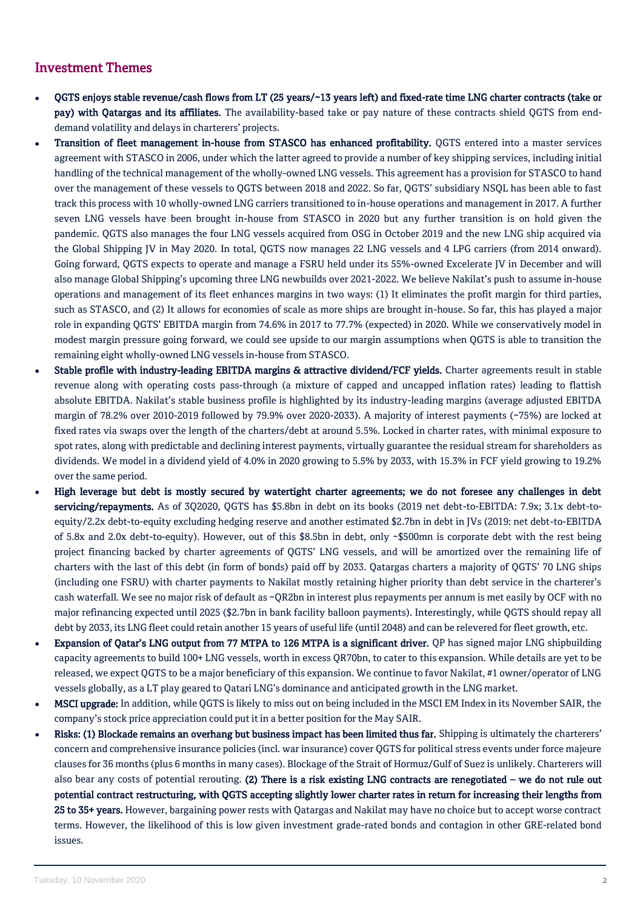## Investment Themes

- QGTS enjoys stable revenue/cash flows from LT (25 years/~13 years left) and fixed-rate time LNG charter contracts (take or pay) with Qatargas and its affiliates. The availability-based take or pay nature of these contracts shield QGTS from enddemand volatility and delays in charterers' projects.
- Transition of fleet management in-house from STASCO has enhanced profitability. QGTS entered into a master services agreement with STASCO in 2006, under which the latter agreed to provide a number of key shipping services, including initial handling of the technical management of the wholly-owned LNG vessels. This agreement has a provision for STASCO to hand over the management of these vessels to QGTS between 2018 and 2022. So far, QGTS' subsidiary NSQL has been able to fast track this process with 10 wholly-owned LNG carriers transitioned to in-house operations and management in 2017. A further seven LNG vessels have been brought in-house from STASCO in 2020 but any further transition is on hold given the pandemic. QGTS also manages the four LNG vessels acquired from OSG in October 2019 and the new LNG ship acquired via the Global Shipping JV in May 2020. In total, QGTS now manages 22 LNG vessels and 4 LPG carriers (from 2014 onward). Going forward, QGTS expects to operate and manage a FSRU held under its 55%-owned Excelerate JV in December and will also manage Global Shipping's upcoming three LNG newbuilds over 2021-2022. We believe Nakilat's push to assume in-house operations and management of its fleet enhances margins in two ways: (1) It eliminates the profit margin for third parties, such as STASCO, and (2) It allows for economies of scale as more ships are brought in-house. So far, this has played a major role in expanding QGTS' EBITDA margin from 74.6% in 2017 to 77.7% (expected) in 2020. While we conservatively model in modest margin pressure going forward, we could see upside to our margin assumptions when QGTS is able to transition the remaining eight wholly-owned LNG vessels in-house from STASCO.
- Stable profile with industry-leading EBITDA margins & attractive dividend/FCF yields. Charter agreements result in stable revenue along with operating costs pass-through (a mixture of capped and uncapped inflation rates) leading to flattish absolute EBITDA. Nakilat's stable business profile is highlighted by its industry-leading margins (average adjusted EBITDA margin of 78.2% over 2010-2019 followed by 79.9% over 2020-2033). A majority of interest payments (~75%) are locked at fixed rates via swaps over the length of the charters/debt at around 5.5%. Locked in charter rates, with minimal exposure to spot rates, along with predictable and declining interest payments, virtually guarantee the residual stream for shareholders as dividends. We model in a dividend yield of 4.0% in 2020 growing to 5.5% by 2033, with 15.3% in FCF yield growing to 19.2% over the same period.
- High leverage but debt is mostly secured by watertight charter agreements; we do not foresee any challenges in debt servicing/repayments. As of 3Q2020, QGTS has \$5.8bn in debt on its books (2019 net debt-to-EBITDA: 7.9x; 3.1x debt-toequity/2.2x debt-to-equity excluding hedging reserve and another estimated \$2.7bn in debt in JVs (2019: net debt-to-EBITDA of 5.8x and 2.0x debt-to-equity). However, out of this \$8.5bn in debt, only ~\$500mn is corporate debt with the rest being project financing backed by charter agreements of QGTS' LNG vessels, and will be amortized over the remaining life of charters with the last of this debt (in form of bonds) paid off by 2033. Qatargas charters a majority of QGTS' 70 LNG ships (including one FSRU) with charter payments to Nakilat mostly retaining higher priority than debt service in the charterer's cash waterfall. We see no major risk of default as ~QR2bn in interest plus repayments per annum is met easily by OCF with no major refinancing expected until 2025 (\$2.7bn in bank facility balloon payments). Interestingly, while QGTS should repay all debt by 2033, its LNG fleet could retain another 15 years of useful life (until 2048) and can be relevered for fleet growth, etc.
- Expansion of Qatar's LNG output from 77 MTPA to 126 MTPA is a significant driver. QP has signed major LNG shipbuilding capacity agreements to build 100+ LNG vessels, worth in excess QR70bn, to cater to this expansion. While details are yet to be released, we expect QGTS to be a major beneficiary of this expansion. We continue to favor Nakilat, #1 owner/operator of LNG vessels globally, as a LT play geared to Qatari LNG's dominance and anticipated growth in the LNG market.
- MSCI upgrade: In addition, while QGTS is likely to miss out on being included in the MSCI EM Index in its November SAIR, the company's stock price appreciation could put it in a better position for the May SAIR.
- Risks: (1) Blockade remains an overhang but business impact has been limited thus far. Shipping is ultimately the charterers' concern and comprehensive insurance policies (incl. war insurance) cover QGTS for political stress events under force majeure clauses for 36 months (plus 6 months in many cases). Blockage of the Strait of Hormuz/Gulf of Suez is unlikely. Charterers will also bear any costs of potential rerouting. (2) There is a risk existing LNG contracts are renegotiated – we do not rule out potential contract restructuring, with QGTS accepting slightly lower charter rates in return for increasing their lengths from 25 to 35+ years. However, bargaining power rests with Qatargas and Nakilat may have no choice but to accept worse contract terms. However, the likelihood of this is low given investment grade-rated bonds and contagion in other GRE-related bond issues.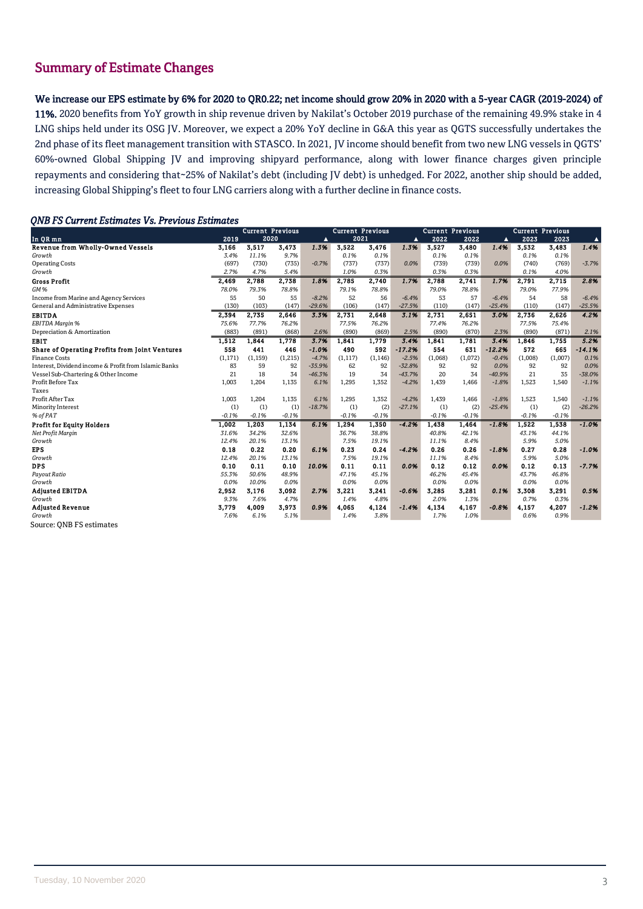## Summary of Estimate Changes

We increase our EPS estimate by 6% for 2020 to QR0.22; net income should grow 20% in 2020 with a 5-year CAGR (2019-2024) of 11%. 2020 benefits from YoY growth in ship revenue driven by Nakilat's October 2019 purchase of the remaining 49.9% stake in 4 LNG ships held under its OSG JV. Moreover, we expect a 20% YoY decline in G&A this year as QGTS successfully undertakes the 2nd phase of its fleet management transition with STASCO. In 2021, JV income should benefit from two new LNG vessels in QGTS' 60%-owned Global Shipping JV and improving shipyard performance, along with lower finance charges given principle repayments and considering that~25% of Nakilat's debt (including JV debt) is unhedged. For 2022, another ship should be added, increasing Global Shipping's fleet to four LNG carriers along with a further decline in finance costs.

## *QNB FS Current Estimates Vs. Previous Estimates*

|                                                       |          | <b>Current Previous</b> |         |                  | <b>Current Previous</b> |          |                  | <b>Current Previous</b> |         |          | <b>Current Previous</b> |         |                  |
|-------------------------------------------------------|----------|-------------------------|---------|------------------|-------------------------|----------|------------------|-------------------------|---------|----------|-------------------------|---------|------------------|
| In QR mn                                              | 2019     | 2020                    |         | $\blacktriangle$ | 2021                    |          | $\blacktriangle$ | 2022                    | 2022    | ▲        | 2023                    | 2023    | $\blacktriangle$ |
| <b>Revenue from Wholly-Owned Vessels</b>              | 3,166    | 3,517                   | 3,473   | 1.3%             | 3,522                   | 3,476    | 1.3%             | 3,527                   | 3,480   | 1.4%     | 3,532                   | 3,483   | 1.4%             |
| Growth                                                | 3.4%     | 11.1%                   | 9.7%    |                  | 0.1%                    | 0.1%     |                  | 0.1%                    | 0.1%    |          | 0.1%                    | 0.1%    |                  |
| <b>Operating Costs</b>                                | (697)    | (730)                   | (735)   | $-0.7%$          | (737)                   | (737)    | 0.0%             | (739)                   | (739)   | 0.0%     | (740)                   | (769)   | $-3.7%$          |
| Growth                                                | 2.7%     | 4.7%                    | 5.4%    |                  | 1.0%                    | 0.3%     |                  | 0.3%                    | 0.3%    |          | 0.1%                    | 4.0%    |                  |
| <b>Gross Profit</b>                                   | 2,469    | 2,788                   | 2,738   | 1.8%             | 2,785                   | 2,740    | 1.7%             | 2,788                   | 2,741   | 1.7%     | 2,791                   | 2,715   | 2.8%             |
| GM%                                                   | 78.0%    | 79.3%                   | 78.8%   |                  | 79.1%                   | 78.8%    |                  | 79.0%                   | 78.8%   |          | 79.0%                   | 77.9%   |                  |
| Income from Marine and Agency Services                | 55       | 50                      | 55      | $-8.2%$          | 52                      | 56       | $-6.4%$          | 53                      | 57      | $-6.4%$  | 54                      | 58      | $-6.4%$          |
| General and Administrative Expenses                   | (130)    | (103)                   | (147)   | $-29.6%$         | (106)                   | (147)    | $-27.5%$         | (110)                   | (147)   | $-25.4%$ | (110)                   | (147)   | $-25.5%$         |
| <b>EBITDA</b>                                         | 2,394    | 2,735                   | 2,646   | 3.3%             | 2,731                   | 2,648    | 3.1%             | 2,731                   | 2,651   | 3.0%     | 2,736                   | 2.626   | 4.2%             |
| EBITDA Margin %                                       | 75.6%    | 77.7%                   | 76.2%   |                  | 77.5%                   | 76.2%    |                  | 77.4%                   | 76.2%   |          | 77.5%                   | 75.4%   |                  |
| Depreciation & Amortization                           | (883)    | (891)                   | (868)   | 2.6%             | (890)                   | (869)    | 2.5%             | (890)                   | (870)   | 2.3%     | (890)                   | (871)   | 2.1%             |
| <b>EBIT</b>                                           | 1,512    | 1.844                   | 1,778   | 3.7%             | 1,841                   | 1.779    | 3.4%             | 1,841                   | 1,781   | 3.4%     | 1,846                   | 1,755   | 5.2%             |
| Share of Operating Profits from Joint Ventures        | 558      | 441                     | 446     | $-1.0%$          | 490                     | 592      | $-17.2%$         | 554                     | 631     | $-12.2%$ | 572                     | 665     | $-14.1%$         |
| <b>Finance Costs</b>                                  | (1, 171) | (1, 159)                | (1,215) | $-4.7%$          | (1, 117)                | (1, 146) | $-2.5%$          | (1,068)                 | (1,072) | $-0.4%$  | (1,008)                 | (1,007) | 0.1%             |
| Interest, Dividend income & Profit from Islamic Banks | 83       | 59                      | 92      | $-35.9%$         | 62                      | 92       | $-32.8%$         | 92                      | 92      | 0.0%     | 92                      | 92      | 0.0%             |
| Vessel Sub-Chartering & Other Income                  | 21       | 18                      | 34      | $-46.3%$         | 19                      | 34       | $-43.7%$         | 20                      | 34      | $-40.9%$ | 21                      | 35      | $-38.0%$         |
| Profit Before Tax                                     | 1.003    | 1,204                   | 1,135   | 6.1%             | 1,295                   | 1,352    | $-4.2%$          | 1,439                   | 1,466   | $-1.8%$  | 1,523                   | 1,540   | $-1.1%$          |
| Taxes                                                 |          |                         |         |                  |                         |          |                  |                         |         |          |                         |         |                  |
| Profit After Tax                                      | 1,003    | 1,204                   | 1,135   | 6.1%             | 1,295                   | 1,352    | $-4.2%$          | 1,439                   | 1,466   | $-1.8%$  | 1,523                   | 1,540   | $-1.1%$          |
| Minority Interest                                     | (1)      | (1)                     | (1)     | $-18.7%$         | (1)                     | (2)      | $-27.1%$         | (1)                     | (2)     | $-25.4%$ | (1)                     | (2)     | $-26.2%$         |
| % of PAT                                              | $-0.1%$  | $-0.1%$                 | $-0.1%$ |                  | $-0.1%$                 | $-0.1%$  |                  | $-0.1%$                 | $-0.1%$ |          | $-0.1%$                 | $-0.1%$ |                  |
| <b>Profit for Equity Holders</b>                      | 1,002    | 1.203                   | 1,134   | 6.1%             | 1,294                   | 1,350    | $-4.2%$          | 1,438                   | 1,464   | $-1.8%$  | 1,522                   | 1.538   | $-1.0%$          |
| Net Profit Margin                                     | 31.6%    | 34.2%                   | 32.6%   |                  | 36.7%                   | 38.8%    |                  | 40.8%                   | 42.1%   |          | 43.1%                   | 44.1%   |                  |
| Growth                                                | 12.4%    | 20.1%                   | 13.1%   |                  | 7.5%                    | 19.1%    |                  | 11.1%                   | 8.4%    |          | 5.9%                    | 5.0%    |                  |
| <b>EPS</b>                                            | 0.18     | 0.22                    | 0.20    | 6.1%             | 0.23                    | 0.24     | $-4.2%$          | 0.26                    | 0.26    | $-1.8%$  | 0.27                    | 0.28    | $-1.0%$          |
| Growth                                                | 12.4%    | 20.1%                   | 13.1%   |                  | 7.5%                    | 19.1%    |                  | 11.1%                   | 8.4%    |          | 5.9%                    | 5.0%    |                  |
| <b>DPS</b>                                            | 0.10     | 0.11                    | 0.10    | 10.0%            | 0.11                    | 0.11     | 0.0%             | 0.12                    | 0.12    | 0.0%     | 0.12                    | 0.13    | $-7.7%$          |
| Payout Ratio                                          | 55.3%    | 50.6%                   | 48.9%   |                  | 47.1%                   | 45.1%    |                  | 46.2%                   | 45.4%   |          | 43.7%                   | 46.8%   |                  |
| Growth                                                | 0.0%     | 10.0%                   | 0.0%    |                  | 0.0%                    | 0.0%     |                  | 0.0%                    | 0.0%    |          | 0.0%                    | 0.0%    |                  |
| <b>Adjusted EBITDA</b>                                | 2.952    | 3.176                   | 3,092   | 2.7%             | 3,221                   | 3,241    | $-0.6%$          | 3,285                   | 3,281   | 0.1%     | 3.308                   | 3,291   | 0.5%             |
| Growth                                                | 9.3%     | 7.6%                    | 4.7%    |                  | 1.4%                    | 4.8%     |                  | 2.0%                    | 1.3%    |          | 0.7%                    | 0.3%    |                  |
| <b>Adjusted Revenue</b>                               | 3,779    | 4,009                   | 3,973   | 0.9%             | 4,065                   | 4,124    | $-1.4%$          | 4,134                   | 4,167   | $-0.8%$  | 4,157                   | 4,207   | $-1.2%$          |
| Growth                                                | 7.6%     | 6.1%                    | 5.1%    |                  | 1.4%                    | 3.8%     |                  | 1.7%                    | 1.0%    |          | 0.6%                    | 0.9%    |                  |
| Source: ONB FS estimates                              |          |                         |         |                  |                         |          |                  |                         |         |          |                         |         |                  |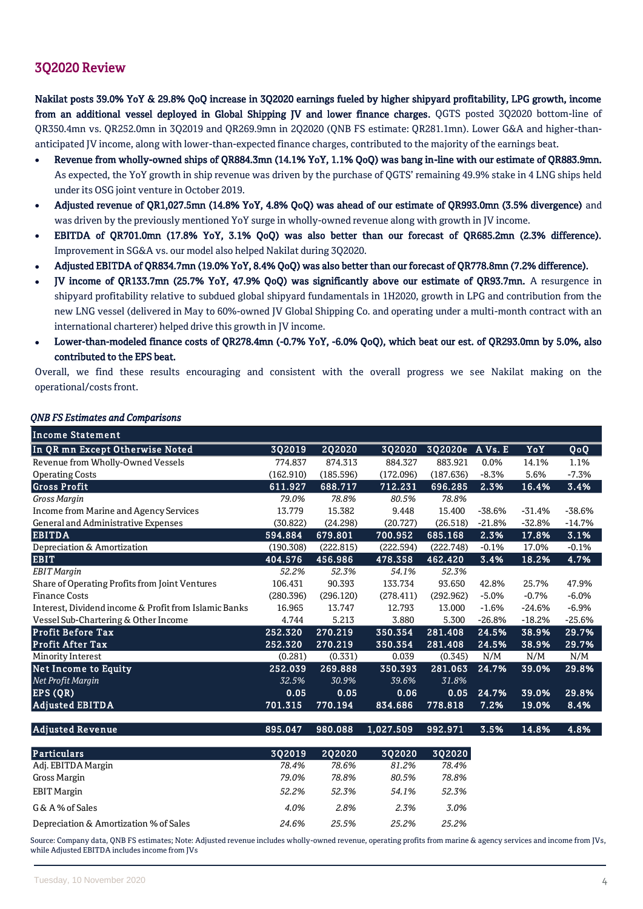## 3Q2020 Review

Nakilat posts 39.0% YoY & 29.8% QoQ increase in 3Q2020 earnings fueled by higher shipyard profitability, LPG growth, income from an additional vessel deployed in Global Shipping JV and lower finance charges. QGTS posted 3Q2020 bottom-line of QR350.4mn vs. QR252.0mn in 3Q2019 and QR269.9mn in 2Q2020 (QNB FS estimate: QR281.1mn). Lower G&A and higher-thananticipated JV income, along with lower-than-expected finance charges, contributed to the majority of the earnings beat.

- Revenue from wholly-owned ships of QR884.3mn (14.1% YoY, 1.1% QoQ) was bang in-line with our estimate of QR883.9mn. As expected, the YoY growth in ship revenue was driven by the purchase of QGTS' remaining 49.9% stake in 4 LNG ships held under its OSG joint venture in October 2019.
- Adjusted revenue of QR1,027.5mn (14.8% YoY, 4.8% QoQ) was ahead of our estimate of QR993.0mn (3.5% divergence) and was driven by the previously mentioned YoY surge in wholly-owned revenue along with growth in JV income.
- EBITDA of QR701.0mn (17.8% YoY, 3.1% QoQ) was also better than our forecast of QR685.2mn (2.3% difference). Improvement in SG&A vs. our model also helped Nakilat during 3Q2020.
- Adjusted EBITDA of QR834.7mn (19.0% YoY, 8.4% QoQ) was also better than our forecast of QR778.8mn (7.2% difference).
- JV income of QR133.7mn (25.7% YoY, 47.9% QoQ) was significantly above our estimate of QR93.7mn. A resurgence in shipyard profitability relative to subdued global shipyard fundamentals in 1H2020, growth in LPG and contribution from the new LNG vessel (delivered in May to 60%-owned JV Global Shipping Co. and operating under a multi-month contract with an international charterer) helped drive this growth in JV income.
- Lower-than-modeled finance costs of QR278.4mn (-0.7% YoY, -6.0% QoQ), which beat our est. of QR293.0mn by 5.0%, also contributed to the EPS beat.

Overall, we find these results encouraging and consistent with the overall progress we see Nakilat making on the operational/costs front.

| <b>Income Statement</b>                               |           |               |           |                 |          |          |          |
|-------------------------------------------------------|-----------|---------------|-----------|-----------------|----------|----------|----------|
| In QR mn Except Otherwise Noted                       | 3Q2019    | <b>2Q2020</b> | 3Q2020    | 3Q2020e A Vs. E |          | YoY      | QoQ      |
| Revenue from Wholly-Owned Vessels                     | 774.837   | 874.313       | 884.327   | 883.921         | 0.0%     | 14.1%    | 1.1%     |
| <b>Operating Costs</b>                                | (162.910) | (185.596)     | (172.096) | (187.636)       | $-8.3%$  | 5.6%     | $-7.3%$  |
| <b>Gross Profit</b>                                   | 611.927   | 688.717       | 712.231   | 696.285         | 2.3%     | 16.4%    | 3.4%     |
| Gross Margin                                          | 79.0%     | 78.8%         | 80.5%     | 78.8%           |          |          |          |
| Income from Marine and Agency Services                | 13.779    | 15.382        | 9.448     | 15.400          | $-38.6%$ | $-31.4%$ | $-38.6%$ |
| General and Administrative Expenses                   | (30.822)  | (24.298)      | (20.727)  | (26.518)        | $-21.8%$ | $-32.8%$ | $-14.7%$ |
| <b>EBITDA</b>                                         | 594.884   | 679.801       | 700.952   | 685.168         | 2.3%     | 17.8%    | 3.1%     |
| Depreciation & Amortization                           | (190.308) | (222.815)     | (222.594) | (222.748)       | $-0.1%$  | 17.0%    | $-0.1%$  |
| <b>EBIT</b>                                           | 404.576   | 456.986       | 478.358   | 462.420         | 3.4%     | 18.2%    | 4.7%     |
| <b>EBIT</b> Margin                                    | 52.2%     | 52.3%         | 54.1%     | 52.3%           |          |          |          |
| Share of Operating Profits from Joint Ventures        | 106.431   | 90.393        | 133.734   | 93.650          | 42.8%    | 25.7%    | 47.9%    |
| <b>Finance Costs</b>                                  | (280.396) | (296.120)     | (278.411) | (292.962)       | $-5.0%$  | $-0.7%$  | $-6.0%$  |
| Interest, Dividend income & Profit from Islamic Banks | 16.965    | 13.747        | 12.793    | 13.000          | $-1.6%$  | $-24.6%$ | $-6.9%$  |
| Vessel Sub-Chartering & Other Income                  | 4.744     | 5.213         | 3.880     | 5.300           | $-26.8%$ | $-18.2%$ | $-25.6%$ |
| <b>Profit Before Tax</b>                              | 252.320   | 270.219       | 350.354   | 281.408         | 24.5%    | 38.9%    | 29.7%    |
| <b>Profit After Tax</b>                               | 252.320   | 270.219       | 350.354   | 281.408         | 24.5%    | 38.9%    | 29.7%    |
| Minority Interest                                     | (0.281)   | (0.331)       | 0.039     | (0.345)         | N/M      | N/M      | N/M      |
| <b>Net Income to Equity</b>                           | 252.039   | 269.888       | 350.393   | 281.063         | 24.7%    | 39.0%    | 29.8%    |
| Net Profit Margin                                     | 32.5%     | 30.9%         | 39.6%     | 31.8%           |          |          |          |
| EPS(QR)                                               | 0.05      | 0.05          | 0.06      | 0.05            | 24.7%    | 39.0%    | 29.8%    |
| <b>Adjusted EBITDA</b>                                | 701.315   | 770.194       | 834.686   | 778.818         | 7.2%     | 19.0%    | 8.4%     |
| <b>Adjusted Revenue</b>                               | 895.047   | 980.088       | 1,027.509 | 992.971         | 3.5%     | 14.8%    | 4.8%     |
| <b>Particulars</b>                                    | 3Q2019    | <b>2Q2020</b> | 3Q2020    | 3Q2020          |          |          |          |
| Adj. EBITDA Margin                                    | 78.4%     | 78.6%         | 81.2%     | 78.4%           |          |          |          |
| Gross Margin                                          | 79.0%     | 78.8%         | 80.5%     | 78.8%           |          |          |          |
| <b>EBIT Margin</b>                                    | 52.2%     | 52.3%         | 54.1%     | 52.3%           |          |          |          |
| G & A % of Sales                                      | 4.0%      | 2.8%          | 2.3%      | 3.0%            |          |          |          |
| Depreciation & Amortization % of Sales                | 24.6%     | 25.5%         | 25.2%     | 25.2%           |          |          |          |

## *QNB FS Estimates and Comparisons*

Source: Company data, QNB FS estimates; Note: Adjusted revenue includes wholly-owned revenue, operating profits from marine & agency services and income from JVs, while Adjusted EBITDA includes income from JVs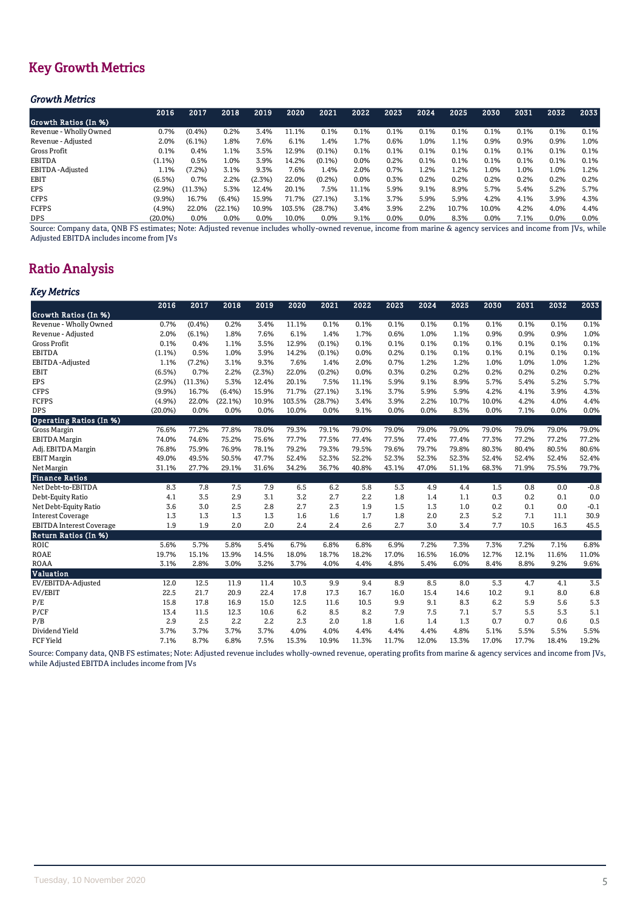# Key Growth Metrics

## *Growth Metrics*

| 2016    | 2017      | 2018      | 2019   | 2020   | 2021      | 2022    | 2023    | 2024    | 2025  | 2030    | 2031 | 2032    | 2033    |
|---------|-----------|-----------|--------|--------|-----------|---------|---------|---------|-------|---------|------|---------|---------|
|         |           |           |        |        |           |         |         |         |       |         |      |         |         |
| 0.7%    | $(0.4\%)$ | 0.2%      | 3.4%   | 11.1%  | 0.1%      | 0.1%    | 0.1%    | 0.1%    | 0.1%  | 0.1%    | 0.1% | 0.1%    | 0.1%    |
| 2.0%    | $(6.1\%)$ | 1.8%      | 7.6%   | 6.1%   | 1.4%      | 1.7%    | 0.6%    | 1.0%    | 1.1%  | 0.9%    | 0.9% | 0.9%    | 1.0%    |
| 0.1%    | 0.4%      | 1.1%      | 3.5%   | 12.9%  | $(0.1\%)$ | 0.1%    | 0.1%    | 0.1%    | 0.1%  | 0.1%    | 0.1% | 0.1%    | 0.1%    |
| (1.1%)  | 0.5%      | 1.0%      | 3.9%   | 14.2%  | $(0.1\%)$ | $0.0\%$ | 0.2%    | 0.1%    | 0.1%  | 0.1%    | 0.1% | 0.1%    | 0.1%    |
| 1.1%    | $(7.2\%)$ | 3.1%      | 9.3%   | 7.6%   | 1.4%      | 2.0%    | 0.7%    | 1.2%    | 1.2%  | 1.0%    | 1.0% | 1.0%    | 1.2%    |
| (6.5%)  | 0.7%      | 2.2%      | (2.3%) | 22.0%  | (0.2%)    | $0.0\%$ | 0.3%    | 0.2%    | 0.2%  | 0.2%    | 0.2% | 0.2%    | 0.2%    |
| (2.9%)  | (11.3%)   | 5.3%      | 12.4%  | 20.1%  | 7.5%      | 11.1%   | 5.9%    | 9.1%    | 8.9%  | 5.7%    | 5.4% | 5.2%    | 5.7%    |
| (9.9%)  | 16.7%     | $(6.4\%)$ | 15.9%  | 71.7%  | (27.1%)   | 3.1%    | 3.7%    | 5.9%    | 5.9%  | 4.2%    | 4.1% | 3.9%    | 4.3%    |
| (4.9%)  | 22.0%     | (22.1%)   | 10.9%  | 103.5% | (28.7%)   | 3.4%    | 3.9%    | 2.2%    | 10.7% | 10.0%   | 4.2% | 4.0%    | 4.4%    |
| (20.0%) | 0.0%      | 0.0%      | 0.0%   | 10.0%  | $0.0\%$   | 9.1%    | $0.0\%$ | $0.0\%$ | 8.3%  | $0.0\%$ | 7.1% | $0.0\%$ | $0.0\%$ |
|         |           |           |        |        |           |         |         |         |       |         |      |         |         |

Source: Company data, QNB FS estimates; Note: Adjusted revenue includes wholly-owned revenue, income from marine & agency services and income from JVs, while Adjusted EBITDA includes income from JVs

# Ratio Analysis

## *Key Metrics*

|                                 | 2016       | 2017    | 2018    | 2019   | 2020   | 2021      | 2022  | 2023  | 2024  | 2025  | 2030  | 2031  | 2032  | 2033   |
|---------------------------------|------------|---------|---------|--------|--------|-----------|-------|-------|-------|-------|-------|-------|-------|--------|
| Growth Ratios (In %)            |            |         |         |        |        |           |       |       |       |       |       |       |       |        |
| Revenue - Wholly Owned          | 0.7%       | (0.4% ) | 0.2%    | 3.4%   | 11.1%  | 0.1%      | 0.1%  | 0.1%  | 0.1%  | 0.1%  | 0.1%  | 0.1%  | 0.1%  | 0.1%   |
| Revenue - Adjusted              | 2.0%       | (6.1%)  | 1.8%    | 7.6%   | 6.1%   | 1.4%      | 1.7%  | 0.6%  | 1.0%  | 1.1%  | 0.9%  | 0.9%  | 0.9%  | 1.0%   |
| Gross Profit                    | 0.1%       | 0.4%    | 1.1%    | 3.5%   | 12.9%  | $(0.1\%)$ | 0.1%  | 0.1%  | 0.1%  | 0.1%  | 0.1%  | 0.1%  | 0.1%  | 0.1%   |
| <b>EBITDA</b>                   | (1.1%)     | 0.5%    | 1.0%    | 3.9%   | 14.2%  | $(0.1\%)$ | 0.0%  | 0.2%  | 0.1%  | 0.1%  | 0.1%  | 0.1%  | 0.1%  | 0.1%   |
| EBITDA-Adjusted                 | 1.1%       | (7.2%)  | 3.1%    | 9.3%   | 7.6%   | 1.4%      | 2.0%  | 0.7%  | 1.2%  | 1.2%  | 1.0%  | 1.0%  | 1.0%  | 1.2%   |
| EBIT                            | (6.5%)     | 0.7%    | 2.2%    | (2.3%) | 22.0%  | (0.2%)    | 0.0%  | 0.3%  | 0.2%  | 0.2%  | 0.2%  | 0.2%  | 0.2%  | 0.2%   |
| <b>EPS</b>                      | (2.9%)     | (11.3%) | 5.3%    | 12.4%  | 20.1%  | 7.5%      | 11.1% | 5.9%  | 9.1%  | 8.9%  | 5.7%  | 5.4%  | 5.2%  | 5.7%   |
| <b>CFPS</b>                     | (9.9%)     | 16.7%   | (6.4%)  | 15.9%  | 71.7%  | (27.1%)   | 3.1%  | 3.7%  | 5.9%  | 5.9%  | 4.2%  | 4.1%  | 3.9%  | 4.3%   |
| <b>FCFPS</b>                    | (4.9%)     | 22.0%   | (22.1%) | 10.9%  | 103.5% | (28.7%)   | 3.4%  | 3.9%  | 2.2%  | 10.7% | 10.0% | 4.2%  | 4.0%  | 4.4%   |
| <b>DPS</b>                      | $(20.0\%)$ | 0.0%    | 0.0%    | 0.0%   | 10.0%  | 0.0%      | 9.1%  | 0.0%  | 0.0%  | 8.3%  | 0.0%  | 7.1%  | 0.0%  | 0.0%   |
| <b>Operating Ratios (In %)</b>  |            |         |         |        |        |           |       |       |       |       |       |       |       |        |
| Gross Margin                    | 76.6%      | 77.2%   | 77.8%   | 78.0%  | 79.3%  | 79.1%     | 79.0% | 79.0% | 79.0% | 79.0% | 79.0% | 79.0% | 79.0% | 79.0%  |
| <b>EBITDA</b> Margin            | 74.0%      | 74.6%   | 75.2%   | 75.6%  | 77.7%  | 77.5%     | 77.4% | 77.5% | 77.4% | 77.4% | 77.3% | 77.2% | 77.2% | 77.2%  |
| Adj. EBITDA Margin              | 76.8%      | 75.9%   | 76.9%   | 78.1%  | 79.2%  | 79.3%     | 79.5% | 79.6% | 79.7% | 79.8% | 80.3% | 80.4% | 80.5% | 80.6%  |
| <b>EBIT Margin</b>              | 49.0%      | 49.5%   | 50.5%   | 47.7%  | 52.4%  | 52.3%     | 52.2% | 52.3% | 52.3% | 52.3% | 52.4% | 52.4% | 52.4% | 52.4%  |
| Net Margin                      | 31.1%      | 27.7%   | 29.1%   | 31.6%  | 34.2%  | 36.7%     | 40.8% | 43.1% | 47.0% | 51.1% | 68.3% | 71.9% | 75.5% | 79.7%  |
| <b>Finance Ratios</b>           |            |         |         |        |        |           |       |       |       |       |       |       |       |        |
| Net Debt-to-EBITDA              | 8.3        | 7.8     | 7.5     | 7.9    | 6.5    | 6.2       | 5.8   | 5.3   | 4.9   | 4.4   | 1.5   | 0.8   | 0.0   | $-0.8$ |
| Debt-Equity Ratio               | 4.1        | 3.5     | 2.9     | 3.1    | 3.2    | 2.7       | 2.2   | 1.8   | 1.4   | 1.1   | 0.3   | 0.2   | 0.1   | 0.0    |
| Net Debt-Equity Ratio           | 3.6        | 3.0     | 2.5     | 2.8    | 2.7    | 2.3       | 1.9   | 1.5   | 1.3   | 1.0   | 0.2   | 0.1   | 0.0   | $-0.1$ |
| <b>Interest Coverage</b>        | 1.3        | 1.3     | 1.3     | 1.3    | 1.6    | 1.6       | 1.7   | 1.8   | 2.0   | 2.3   | 5.2   | 7.1   | 11.1  | 30.9   |
| <b>EBITDA</b> Interest Coverage | 1.9        | 1.9     | 2.0     | 2.0    | 2.4    | 2.4       | 2.6   | 2.7   | 3.0   | 3.4   | 7.7   | 10.5  | 16.3  | 45.5   |
| Return Ratios (In %)            |            |         |         |        |        |           |       |       |       |       |       |       |       |        |
| <b>ROIC</b>                     | 5.6%       | 5.7%    | 5.8%    | 5.4%   | 6.7%   | 6.8%      | 6.8%  | 6.9%  | 7.2%  | 7.3%  | 7.3%  | 7.2%  | 7.1%  | 6.8%   |
| <b>ROAE</b>                     | 19.7%      | 15.1%   | 13.9%   | 14.5%  | 18.0%  | 18.7%     | 18.2% | 17.0% | 16.5% | 16.0% | 12.7% | 12.1% | 11.6% | 11.0%  |
| <b>ROAA</b>                     | 3.1%       | 2.8%    | 3.0%    | 3.2%   | 3.7%   | 4.0%      | 4.4%  | 4.8%  | 5.4%  | 6.0%  | 8.4%  | 8.8%  | 9.2%  | 9.6%   |
| Valuation                       |            |         |         |        |        |           |       |       |       |       |       |       |       |        |
| EV/EBITDA-Adjusted              | 12.0       | 12.5    | 11.9    | 11.4   | 10.3   | 9.9       | 9.4   | 8.9   | 8.5   | 8.0   | 5.3   | 4.7   | 4.1   | 3.5    |
| EV/EBIT                         | 22.5       | 21.7    | 20.9    | 22.4   | 17.8   | 17.3      | 16.7  | 16.0  | 15.4  | 14.6  | 10.2  | 9.1   | 8.0   | 6.8    |
| P/E                             | 15.8       | 17.8    | 16.9    | 15.0   | 12.5   | 11.6      | 10.5  | 9.9   | 9.1   | 8.3   | 6.2   | 5.9   | 5.6   | 5.3    |
| P/CF                            | 13.4       | 11.5    | 12.3    | 10.6   | 6.2    | 8.5       | 8.2   | 7.9   | 7.5   | 7.1   | 5.7   | 5.5   | 5.3   | 5.1    |
| P/B                             | 2.9        | 2.5     | 2.2     | 2.2    | 2.3    | 2.0       | 1.8   | 1.6   | 1.4   | 1.3   | 0.7   | 0.7   | 0.6   | 0.5    |
| Dividend Yield                  | 3.7%       | 3.7%    | 3.7%    | 3.7%   | 4.0%   | 4.0%      | 4.4%  | 4.4%  | 4.4%  | 4.8%  | 5.1%  | 5.5%  | 5.5%  | 5.5%   |
| <b>FCF Yield</b>                | 7.1%       | 8.7%    | 6.8%    | 7.5%   | 15.3%  | 10.9%     | 11.3% | 11.7% | 12.0% | 13.3% | 17.0% | 17.7% | 18.4% | 19.2%  |

Source: Company data, QNB FS estimates; Note: Adjusted revenue includes wholly-owned revenue, operating profits from marine & agency services and income from JVs, while Adjusted EBITDA includes income from JVs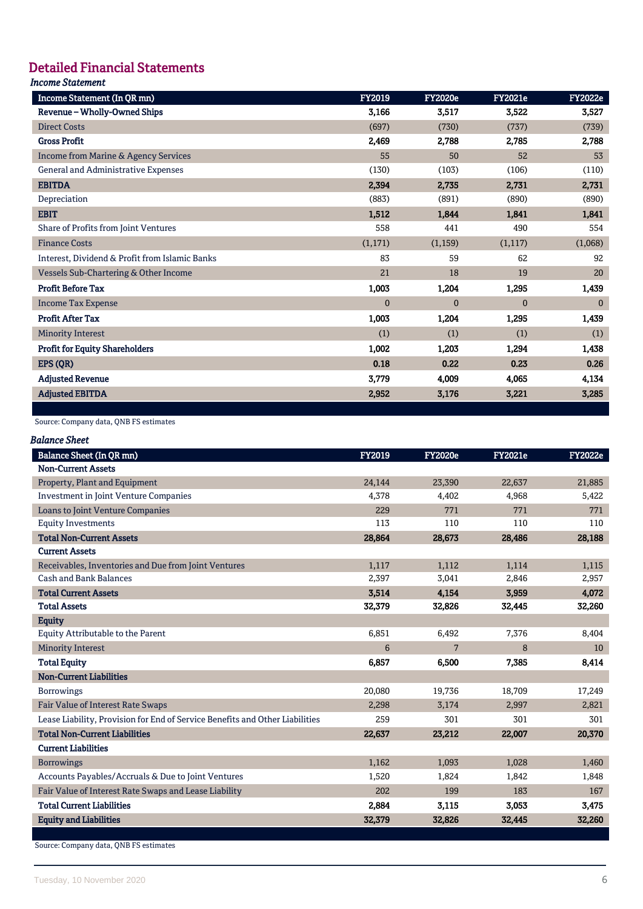# Detailed Financial Statements

## *Income Statement*

| Income Statement (In QR mn)                     | <b>FY2019</b> | <b>FY2020e</b> | <b>FY2021e</b> | <b>FY2022e</b> |
|-------------------------------------------------|---------------|----------------|----------------|----------------|
| Revenue - Wholly-Owned Ships                    | 3,166         | 3,517          | 3,522          | 3,527          |
| <b>Direct Costs</b>                             | (697)         | (730)          | (737)          | (739)          |
| <b>Gross Profit</b>                             | 2,469         | 2,788          | 2,785          | 2,788          |
| <b>Income from Marine &amp; Agency Services</b> | 55            | 50             | 52             | 53             |
| General and Administrative Expenses             | (130)         | (103)          | (106)          | (110)          |
| <b>EBITDA</b>                                   | 2,394         | 2,735          | 2,731          | 2,731          |
| Depreciation                                    | (883)         | (891)          | (890)          | (890)          |
| <b>EBIT</b>                                     | 1,512         | 1,844          | 1,841          | 1,841          |
| Share of Profits from Joint Ventures            | 558           | 441            | 490            | 554            |
| <b>Finance Costs</b>                            | (1,171)       | (1, 159)       | (1,117)        | (1,068)        |
| Interest, Dividend & Profit from Islamic Banks  | 83            | 59             | 62             | 92             |
| Vessels Sub-Chartering & Other Income           | 21            | 18             | 19             | 20             |
| <b>Profit Before Tax</b>                        | 1,003         | 1,204          | 1,295          | 1,439          |
| <b>Income Tax Expense</b>                       | $\Omega$      | $\Omega$       | $\Omega$       | $\Omega$       |
| <b>Profit After Tax</b>                         | 1,003         | 1,204          | 1,295          | 1,439          |
| <b>Minority Interest</b>                        | (1)           | (1)            | (1)            | (1)            |
| <b>Profit for Equity Shareholders</b>           | 1,002         | 1,203          | 1,294          | 1,438          |
| EPS (QR)                                        | 0.18          | 0.22           | 0.23           | 0.26           |
| <b>Adjusted Revenue</b>                         | 3,779         | 4,009          | 4,065          | 4,134          |
| <b>Adjusted EBITDA</b>                          | 2,952         | 3,176          | 3,221          | 3,285          |

## Source: Company data, QNB FS estimates

| Balance Sheet |  |
|---------------|--|
|---------------|--|

| <b>Balance Sheet (In QR mn)</b>                                              | <b>FY2019</b> | <b>FY2020e</b> | <b>FY2021e</b> | <b>FY2022e</b> |
|------------------------------------------------------------------------------|---------------|----------------|----------------|----------------|
| <b>Non-Current Assets</b>                                                    |               |                |                |                |
| Property, Plant and Equipment                                                | 24,144        | 23,390         | 22,637         | 21,885         |
| <b>Investment in Joint Venture Companies</b>                                 | 4,378         | 4,402          | 4,968          | 5,422          |
| Loans to Joint Venture Companies                                             | 229           | 771            | 771            | 771            |
| <b>Equity Investments</b>                                                    | 113           | 110            | 110            | 110            |
| <b>Total Non-Current Assets</b>                                              | 28,864        | 28,673         | 28,486         | 28,188         |
| <b>Current Assets</b>                                                        |               |                |                |                |
| Receivables, Inventories and Due from Joint Ventures                         | 1,117         | 1,112          | 1,114          | 1,115          |
| <b>Cash and Bank Balances</b>                                                | 2,397         | 3,041          | 2,846          | 2,957          |
| <b>Total Current Assets</b>                                                  | 3.514         | 4.154          | 3.959          | 4,072          |
| <b>Total Assets</b>                                                          | 32,379        | 32.826         | 32,445         | 32,260         |
| <b>Equity</b>                                                                |               |                |                |                |
| <b>Equity Attributable to the Parent</b>                                     | 6,851         | 6,492          | 7,376          | 8,404          |
| <b>Minority Interest</b>                                                     | 6             | $\overline{7}$ | 8              | 10             |
| <b>Total Equity</b>                                                          | 6,857         | 6,500          | 7,385          | 8,414          |
| <b>Non-Current Liabilities</b>                                               |               |                |                |                |
| <b>Borrowings</b>                                                            | 20,080        | 19,736         | 18,709         | 17,249         |
| Fair Value of Interest Rate Swaps                                            | 2,298         | 3,174          | 2,997          | 2,821          |
| Lease Liability, Provision for End of Service Benefits and Other Liabilities | 259           | 301            | 301            | 301            |
| <b>Total Non-Current Liabilities</b>                                         | 22,637        | 23,212         | 22,007         | 20,370         |
| <b>Current Liabilities</b>                                                   |               |                |                |                |
| <b>Borrowings</b>                                                            | 1,162         | 1,093          | 1,028          | 1,460          |
| Accounts Payables/Accruals & Due to Joint Ventures                           | 1,520         | 1,824          | 1,842          | 1,848          |
| Fair Value of Interest Rate Swaps and Lease Liability                        | 202           | 199            | 183            | 167            |
| <b>Total Current Liabilities</b>                                             | 2,884         | 3,115          | 3,053          | 3,475          |
| <b>Equity and Liabilities</b>                                                | 32,379        | 32,826         | 32,445         | 32,260         |
|                                                                              |               |                |                |                |

Source: Company data, QNB FS estimates